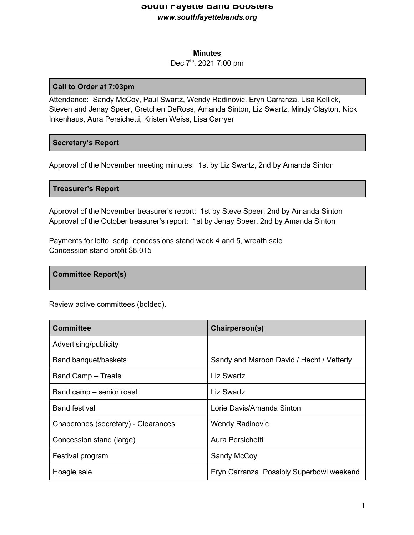#### **Minutes**

## Dec 7<sup>th</sup>, 2021 7:00 pm

#### **Call to Order at 7:03pm**

Attendance: Sandy McCoy, Paul Swartz, Wendy Radinovic, Eryn Carranza, Lisa Kellick, Steven and Jenay Speer, Gretchen DeRoss, Amanda Sinton, Liz Swartz, Mindy Clayton, Nick Inkenhaus, Aura Persichetti, Kristen Weiss, Lisa Carryer

### **Secretary's Report**

Approval of the November meeting minutes: 1st by Liz Swartz, 2nd by Amanda Sinton

#### **Treasurer's Report**

Approval of the November treasurer's report: 1st by Steve Speer, 2nd by Amanda Sinton Approval of the October treasurer's report: 1st by Jenay Speer, 2nd by Amanda Sinton

Payments for lotto, scrip, concessions stand week 4 and 5, wreath sale Concession stand profit \$8,015

### **Committee Report(s)**

Review active committees (bolded).

| <b>Committee</b>                    | Chairperson(s)                            |
|-------------------------------------|-------------------------------------------|
| Advertising/publicity               |                                           |
| Band banquet/baskets                | Sandy and Maroon David / Hecht / Vetterly |
| Band Camp - Treats                  | Liz Swartz                                |
| Band camp – senior roast            | <b>Liz Swartz</b>                         |
| <b>Band festival</b>                | Lorie Davis/Amanda Sinton                 |
| Chaperones (secretary) - Clearances | <b>Wendy Radinovic</b>                    |
| Concession stand (large)            | Aura Persichetti                          |
| Festival program                    | Sandy McCoy                               |
| Hoagie sale                         | Eryn Carranza Possibly Superbowl weekend  |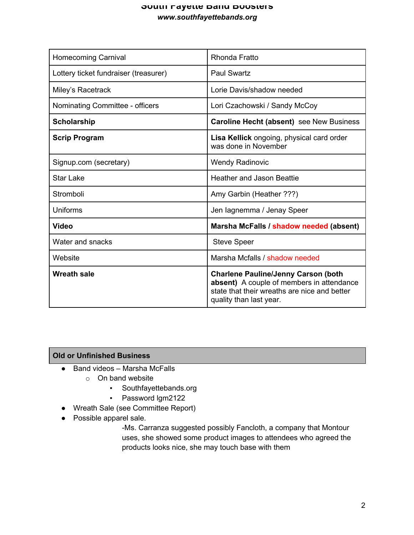| <b>Homecoming Carnival</b>            | Rhonda Fratto                                                                                                                                                      |
|---------------------------------------|--------------------------------------------------------------------------------------------------------------------------------------------------------------------|
| Lottery ticket fundraiser (treasurer) | <b>Paul Swartz</b>                                                                                                                                                 |
| Miley's Racetrack                     | Lorie Davis/shadow needed                                                                                                                                          |
| Nominating Committee - officers       | Lori Czachowski / Sandy McCoy                                                                                                                                      |
| Scholarship                           | Caroline Hecht (absent) see New Business                                                                                                                           |
| <b>Scrip Program</b>                  | Lisa Kellick ongoing, physical card order<br>was done in November                                                                                                  |
| Signup.com (secretary)                | <b>Wendy Radinovic</b>                                                                                                                                             |
| <b>Star Lake</b>                      | <b>Heather and Jason Beattie</b>                                                                                                                                   |
| Stromboli                             | Amy Garbin (Heather ???)                                                                                                                                           |
| Uniforms                              | Jen lagnemma / Jenay Speer                                                                                                                                         |
| <b>Video</b>                          | Marsha McFalls / shadow needed (absent)                                                                                                                            |
| Water and snacks                      | <b>Steve Speer</b>                                                                                                                                                 |
| Website                               | Marsha Mcfalls / shadow needed                                                                                                                                     |
| <b>Wreath sale</b>                    | <b>Charlene Pauline/Jenny Carson (both</b><br>absent) A couple of members in attendance<br>state that their wreaths are nice and better<br>quality than last year. |

# **Old or Unfinished Business**

- Band videos Marsha McFalls
	- o On band website
		- Southfayettebands.org
		- Password lgm2122
- Wreath Sale (see Committee Report)
- Possible apparel sale.

-Ms. Carranza suggested possibly Fancloth, a company that Montour uses, she showed some product images to attendees who agreed the products looks nice, she may touch base with them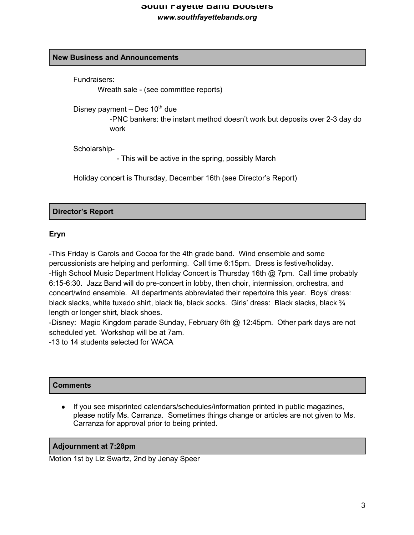# **New Business and Announcements**

Fundraisers:

Wreath sale - (see committee reports)

Disney payment – Dec  $10^{th}$  due

-PNC bankers: the instant method doesn't work but deposits over 2-3 day do work

Scholarship-

- This will be active in the spring, possibly March

Holiday concert is Thursday, December 16th (see Director's Report)

## **Director's Report**

## **Eryn**

-This Friday is Carols and Cocoa for the 4th grade band. Wind ensemble and some percussionists are helping and performing. Call time 6:15pm. Dress is festive/holiday. -High School Music Department Holiday Concert is Thursday 16th @ 7pm. Call time probably 6:15-6:30. Jazz Band will do pre-concert in lobby, then choir, intermission, orchestra, and concert/wind ensemble. All departments abbreviated their repertoire this year. Boys' dress: black slacks, white tuxedo shirt, black tie, black socks. Girls' dress: Black slacks, black 3/4 length or longer shirt, black shoes.

-Disney: Magic Kingdom parade Sunday, February 6th @ 12:45pm. Other park days are not scheduled yet. Workshop will be at 7am.

-13 to 14 students selected for WACA

### **Comments**

If you see misprinted calendars/schedules/information printed in public magazines, please notify Ms. Carranza. Sometimes things change or articles are not given to Ms. Carranza for approval prior to being printed.

### **Adjournment at 7:28pm**

Motion 1st by Liz Swartz, 2nd by Jenay Speer